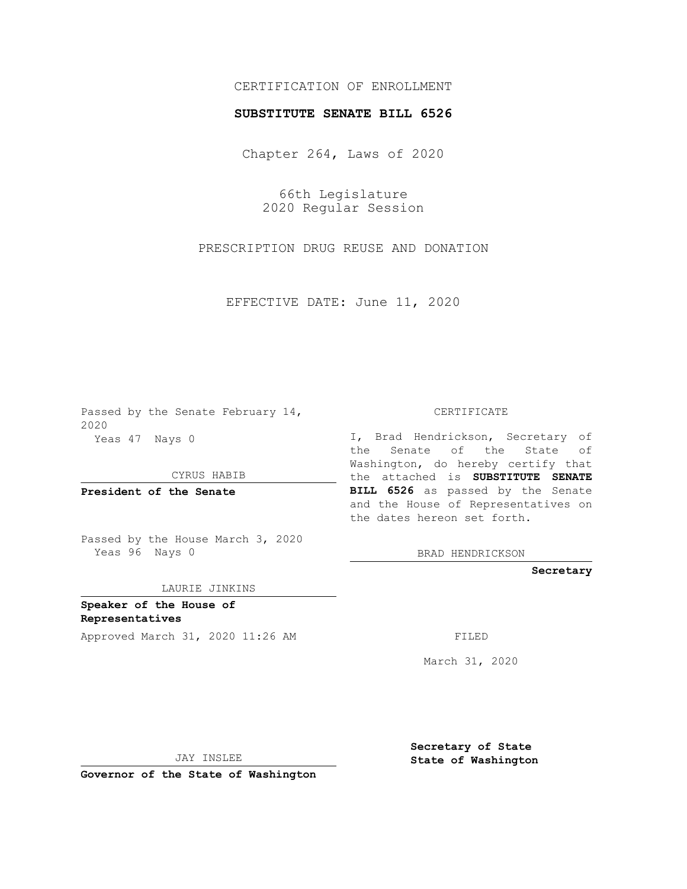## CERTIFICATION OF ENROLLMENT

## **SUBSTITUTE SENATE BILL 6526**

Chapter 264, Laws of 2020

66th Legislature 2020 Regular Session

PRESCRIPTION DRUG REUSE AND DONATION

EFFECTIVE DATE: June 11, 2020

Passed by the Senate February 14, 2020 Yeas 47 Nays 0

CYRUS HABIB

**President of the Senate**

Passed by the House March 3, 2020 Yeas 96 Nays 0

LAURIE JINKINS

**Speaker of the House of Representatives**

Approved March 31, 2020 11:26 AM

CERTIFICATE

I, Brad Hendrickson, Secretary of the Senate of the State of Washington, do hereby certify that the attached is **SUBSTITUTE SENATE BILL 6526** as passed by the Senate and the House of Representatives on the dates hereon set forth.

BRAD HENDRICKSON

**Secretary**

March 31, 2020

JAY INSLEE

**Governor of the State of Washington**

**Secretary of State State of Washington**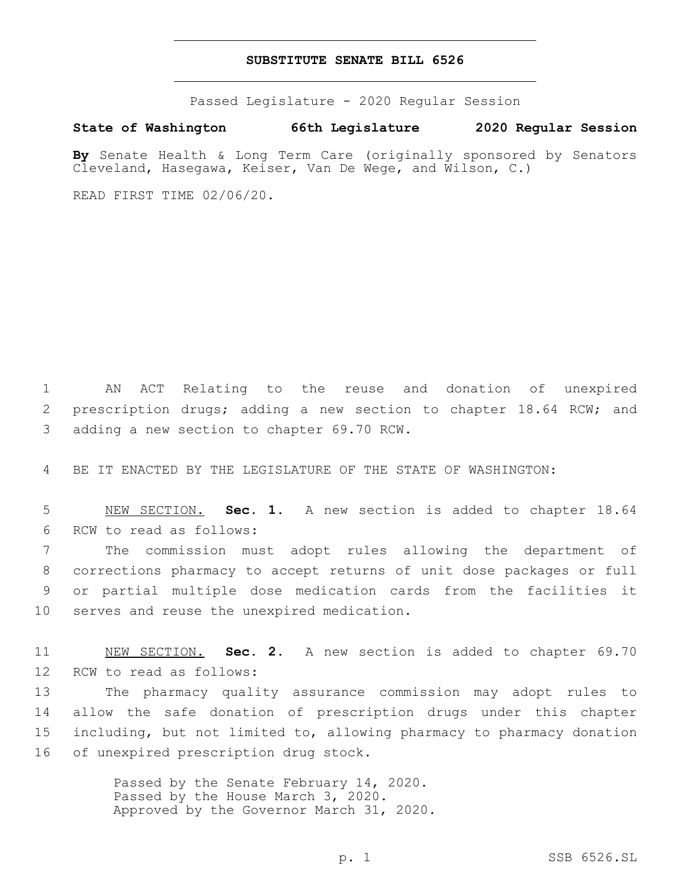## **SUBSTITUTE SENATE BILL 6526**

Passed Legislature - 2020 Regular Session

**State of Washington 66th Legislature 2020 Regular Session**

**By** Senate Health & Long Term Care (originally sponsored by Senators Cleveland, Hasegawa, Keiser, Van De Wege, and Wilson, C.)

READ FIRST TIME 02/06/20.

1 AN ACT Relating to the reuse and donation of unexpired 2 prescription drugs; adding a new section to chapter 18.64 RCW; and 3 adding a new section to chapter 69.70 RCW.

4 BE IT ENACTED BY THE LEGISLATURE OF THE STATE OF WASHINGTON:

5 NEW SECTION. **Sec. 1.** A new section is added to chapter 18.64 6 RCW to read as follows:

 The commission must adopt rules allowing the department of corrections pharmacy to accept returns of unit dose packages or full or partial multiple dose medication cards from the facilities it 10 serves and reuse the unexpired medication.

11 NEW SECTION. **Sec. 2.** A new section is added to chapter 69.70 12 RCW to read as follows:

 The pharmacy quality assurance commission may adopt rules to allow the safe donation of prescription drugs under this chapter including, but not limited to, allowing pharmacy to pharmacy donation 16 of unexpired prescription drug stock.

> Passed by the Senate February 14, 2020. Passed by the House March 3, 2020. Approved by the Governor March 31, 2020.